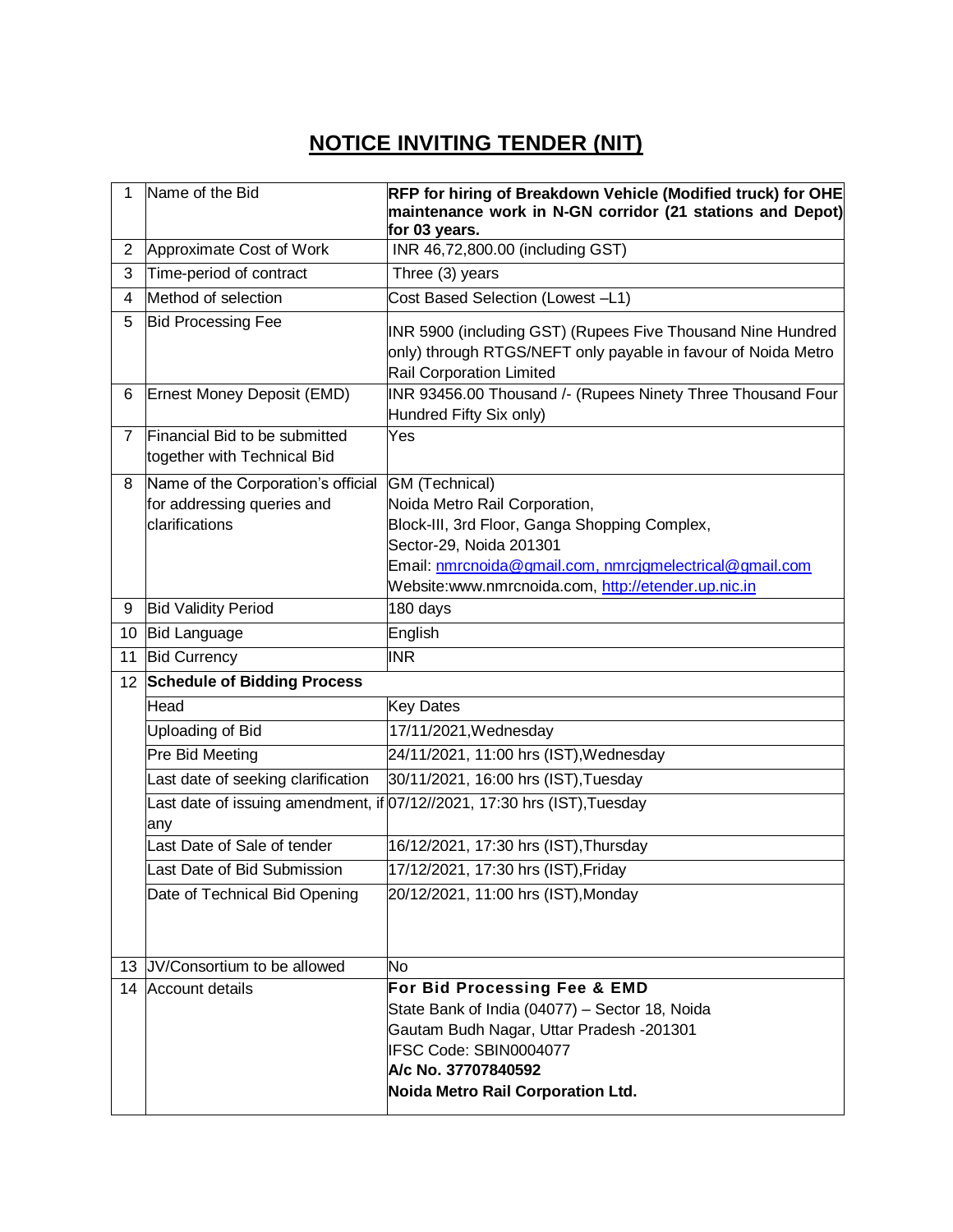## **NOTICE INVITING TENDER (NIT)**

| 1                 | Name of the Bid                                              | RFP for hiring of Breakdown Vehicle (Modified truck) for OHE<br>maintenance work in N-GN corridor (21 stations and Depot)<br>for 03 years.                      |
|-------------------|--------------------------------------------------------------|-----------------------------------------------------------------------------------------------------------------------------------------------------------------|
| $\overline{c}$    | Approximate Cost of Work                                     | INR 46,72,800.00 (including GST)                                                                                                                                |
| 3                 | Time-period of contract                                      | Three (3) years                                                                                                                                                 |
| 4                 | Method of selection                                          | Cost Based Selection (Lowest -L1)                                                                                                                               |
| 5                 | <b>Bid Processing Fee</b>                                    | INR 5900 (including GST) (Rupees Five Thousand Nine Hundred<br>only) through RTGS/NEFT only payable in favour of Noida Metro<br><b>Rail Corporation Limited</b> |
| 6                 | Ernest Money Deposit (EMD)                                   | INR 93456.00 Thousand /- (Rupees Ninety Three Thousand Four<br>Hundred Fifty Six only)                                                                          |
| $\overline{7}$    | Financial Bid to be submitted<br>together with Technical Bid | Yes                                                                                                                                                             |
| 8                 | Name of the Corporation's official                           | GM (Technical)                                                                                                                                                  |
|                   | for addressing queries and                                   | Noida Metro Rail Corporation,                                                                                                                                   |
|                   | clarifications                                               | Block-III, 3rd Floor, Ganga Shopping Complex,                                                                                                                   |
|                   |                                                              | Sector-29, Noida 201301                                                                                                                                         |
|                   |                                                              | Email: nmrcnoida@gmail.com, nmrcjgmelectrical@gmail.com<br>Website:www.nmrcnoida.com, http://etender.up.nic.in                                                  |
| 9                 | <b>Bid Validity Period</b>                                   | 180 days                                                                                                                                                        |
| 10                | <b>Bid Language</b>                                          | English                                                                                                                                                         |
| 11                | <b>Bid Currency</b>                                          | <b>INR</b>                                                                                                                                                      |
| $12 \overline{ }$ | <b>Schedule of Bidding Process</b>                           |                                                                                                                                                                 |
|                   | Head                                                         | <b>Key Dates</b>                                                                                                                                                |
|                   | Uploading of Bid                                             | 17/11/2021, Wednesday                                                                                                                                           |
|                   | Pre Bid Meeting                                              | 24/11/2021, 11:00 hrs (IST), Wednesday                                                                                                                          |
|                   | Last date of seeking clarification                           | 30/11/2021, 16:00 hrs (IST), Tuesday                                                                                                                            |
|                   |                                                              | Last date of issuing amendment, if 07/12//2021, 17:30 hrs (IST), Tuesday                                                                                        |
|                   | any                                                          |                                                                                                                                                                 |
|                   | Last Date of Sale of tender                                  | 16/12/2021, 17:30 hrs (IST), Thursday                                                                                                                           |
|                   | Last Date of Bid Submission                                  | 17/12/2021, 17:30 hrs (IST), Friday                                                                                                                             |
|                   | Date of Technical Bid Opening                                | 20/12/2021, 11:00 hrs (IST), Monday                                                                                                                             |
|                   | 13 JV/Consortium to be allowed                               | <b>No</b>                                                                                                                                                       |
|                   | 14 Account details                                           | For Bid Processing Fee & EMD                                                                                                                                    |
|                   |                                                              | State Bank of India (04077) - Sector 18, Noida                                                                                                                  |
|                   |                                                              | Gautam Budh Nagar, Uttar Pradesh -201301                                                                                                                        |
|                   |                                                              | IFSC Code: SBIN0004077<br>A/c No. 37707840592                                                                                                                   |
|                   |                                                              | Noida Metro Rail Corporation Ltd.                                                                                                                               |
|                   |                                                              |                                                                                                                                                                 |